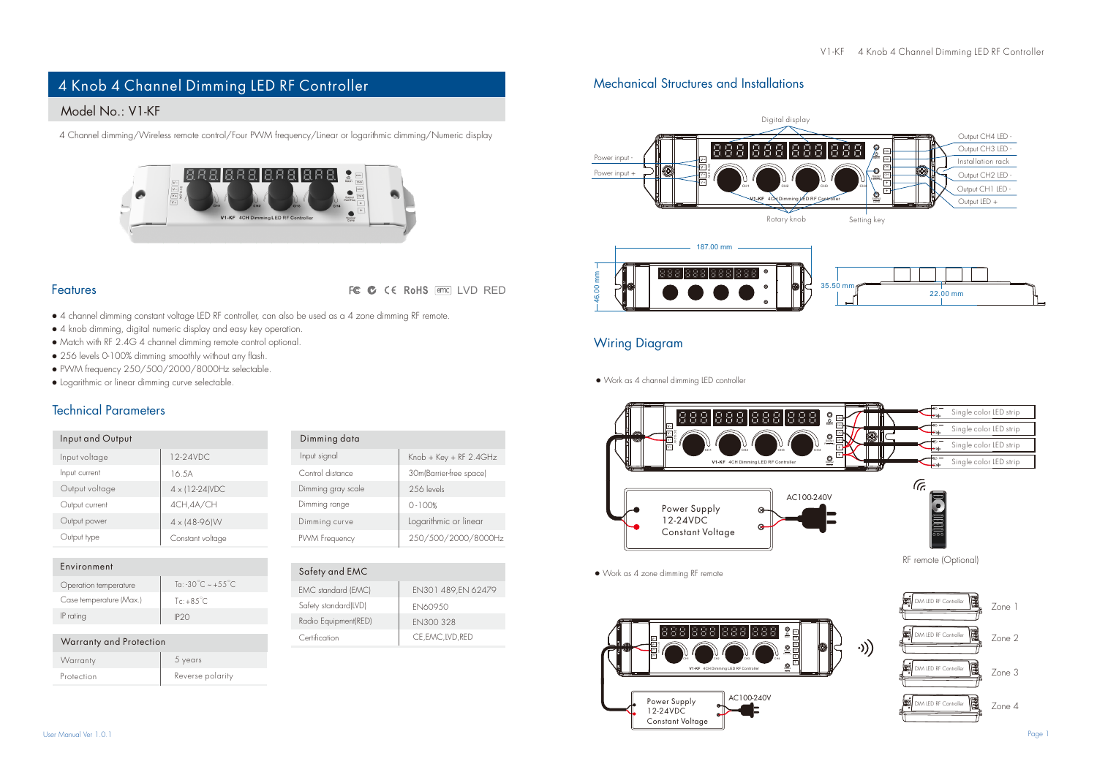# 4 Knob 4 Channel Dimming LED RF Controller

## Model No.: V1-KF

4 Channel dimming/Wireless remote control/Four PWM frequency/Linear or logarithmic dimming/Numeric display



#### Features

FC C CE RoHS FED LVD RED

- 4 channel dimming constant voltage LED RF controller, can also be used as a 4 zone dimming RF remote.
- 4 knob dimming, digital numeric display and easy key operation.
- Match with RF 2.4G 4 channel dimming remote control optional.
- 256 levels 0-100% dimming smoothly without any flash.
- PWM frequency 250/500/2000/8000Hz selectable.
- Logarithmic or linear dimming curve selectable.

#### Technical Parameters

Warranty and Protection

| Input and Output |                        | Dimming data       |                          |  |
|------------------|------------------------|--------------------|--------------------------|--|
| Input voltage    | 12-24VDC.              | Input signal       | $Knob + Key + RF$ 2.4GHz |  |
| Input current    | 16.5A                  | Control distance   | 30m(Barrier-free space)  |  |
| Output voltage   | 4 x (12-24) VDC        | Dimming gray scale | 256 levels               |  |
| Output current   | 4CH.4A/CH              | Dimming range      | $0 - 100%$               |  |
| Output power     | $4 \times 148 - 96$ IW | Dimming curve      | Logarithmic or linear    |  |
| Output type      | Constant voltage       | PWM Frequency      | 250/500/2000/8000H       |  |

| Environment             |                                           |  |
|-------------------------|-------------------------------------------|--|
| Operation temperature   | To: $-30^{\circ}$ C $\sim +55^{\circ}$ C. |  |
| Case temperature (Max.) | $Te + 85^\circ C$                         |  |
| IP rating               | IP2O                                      |  |

Protection Reverse polarity

5 years

| <b>Dimining gray scale</b> | ZOD IAVAIS            |  |
|----------------------------|-----------------------|--|
| Dimming range              | $0 - 100%$            |  |
| Dimming curve              | Logarithmic or linear |  |
| PWM Frequency              | 250/500/2000/8000Hz   |  |
|                            |                       |  |
| Safety and EMC             |                       |  |
| EMC standard (EMC)         | EN301 489.EN 62479    |  |

**EN300 328** CE,EMC,LVD,RED

| Safety standard(LVD) | <b>FN60950</b> |
|----------------------|----------------|
| Radio Equipment(RED) | FN30032        |
| Certification        | CE, EMC, IN    |
|                      |                |

## Mechanical Structures and Installations





### Wiring Diagram

● Work as 4 channel dimming LED controller



● Work as 4 zone dimming RF remote





**Warranty**